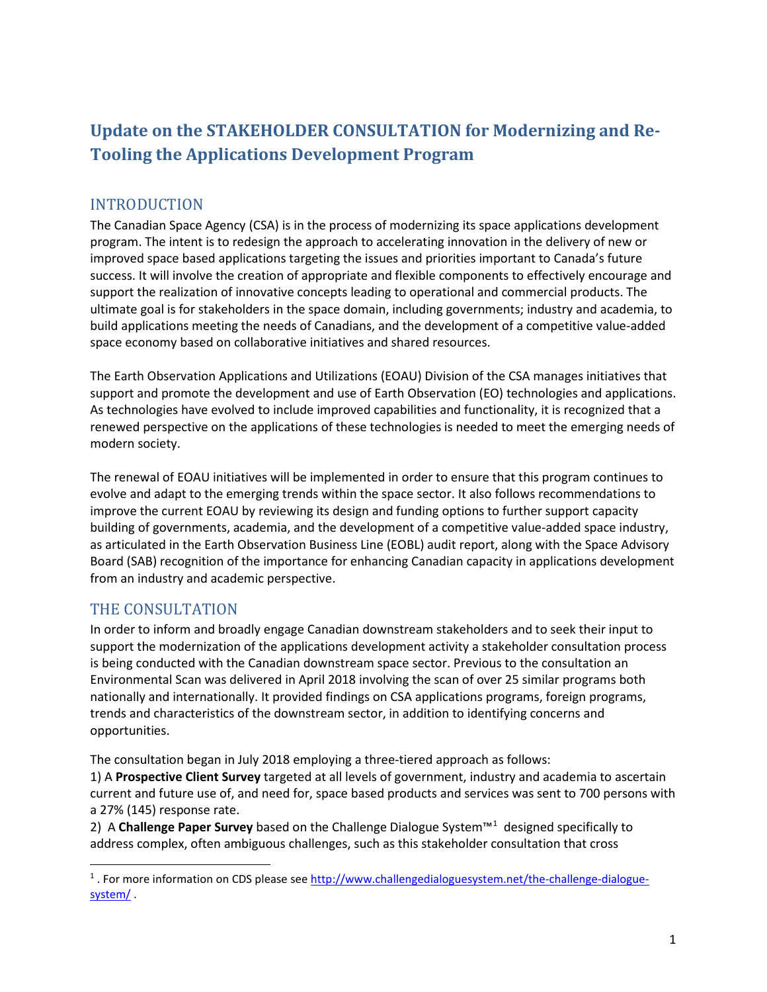# **Update on the STAKEHOLDER CONSULTATION for Modernizing and Re-Tooling the Applications Development Program**

# INTRODUCTION

The Canadian Space Agency (CSA) is in the process of modernizing its space applications development program. The intent is to redesign the approach to accelerating innovation in the delivery of new or improved space based applications targeting the issues and priorities important to Canada's future success. It will involve the creation of appropriate and flexible components to effectively encourage and support the realization of innovative concepts leading to operational and commercial products. The ultimate goal is for stakeholders in the space domain, including governments; industry and academia, to build applications meeting the needs of Canadians, and the development of a competitive value-added space economy based on collaborative initiatives and shared resources.

The Earth Observation Applications and Utilizations (EOAU) Division of the CSA manages initiatives that support and promote the development and use of Earth Observation (EO) technologies and applications. As technologies have evolved to include improved capabilities and functionality, it is recognized that a renewed perspective on the applications of these technologies is needed to meet the emerging needs of modern society.

The renewal of EOAU initiatives will be implemented in order to ensure that this program continues to evolve and adapt to the emerging trends within the space sector. It also follows recommendations to improve the current EOAU by reviewing its design and funding options to further support capacity building of governments, academia, and the development of a competitive value-added space industry, as articulated in the Earth Observation Business Line (EOBL) audit report, along with the Space Advisory Board (SAB) recognition of the importance for enhancing Canadian capacity in applications development from an industry and academic perspective.

## THE CONSULTATION

In order to inform and broadly engage Canadian downstream stakeholders and to seek their input to support the modernization of the applications development activity a stakeholder consultation process is being conducted with the Canadian downstream space sector. Previous to the consultation an Environmental Scan was delivered in April 2018 involving the scan of over 25 similar programs both nationally and internationally. It provided findings on CSA applications programs, foreign programs, trends and characteristics of the downstream sector, in addition to identifying concerns and opportunities.

The consultation began in July 2018 employing a three-tiered approach as follows:

1) A **Prospective Client Survey** targeted at all levels of government, industry and academia to ascertain current and future use of, and need for, space based products and services was sent to 700 persons with a 27% (145) response rate.

2) A **Challenge Paper Survey** based on the Challenge Dialogue System™[1](#page-0-0) designed specifically to address complex, often ambiguous challenges, such as this stakeholder consultation that cross

<span id="page-0-0"></span><sup>&</sup>lt;sup>1</sup>. For more information on CDS please see [http://www.challengedialoguesystem.net/the-challenge-dialogue](http://www.challengedialoguesystem.net/the-challenge-dialogue-system/)[system/](http://www.challengedialoguesystem.net/the-challenge-dialogue-system/) .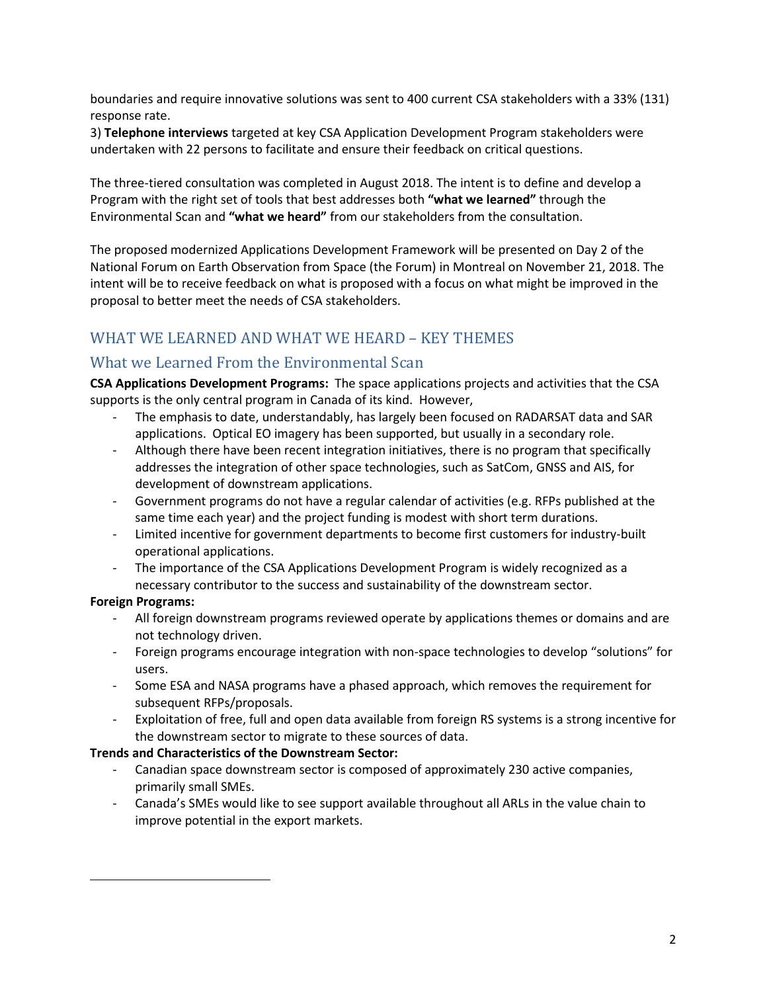boundaries and require innovative solutions was sent to 400 current CSA stakeholders with a 33% (131) response rate.

3) **Telephone interviews** targeted at key CSA Application Development Program stakeholders were undertaken with 22 persons to facilitate and ensure their feedback on critical questions.

The three-tiered consultation was completed in August 2018. The intent is to define and develop a Program with the right set of tools that best addresses both **"what we learned"** through the Environmental Scan and **"what we heard"** from our stakeholders from the consultation.

The proposed modernized Applications Development Framework will be presented on Day 2 of the National Forum on Earth Observation from Space (the Forum) in Montreal on November 21, 2018. The intent will be to receive feedback on what is proposed with a focus on what might be improved in the proposal to better meet the needs of CSA stakeholders.

# WHAT WE LEARNED AND WHAT WE HEARD – KEY THEMES

## What we Learned From the Environmental Scan

**CSA Applications Development Programs:** The space applications projects and activities that the CSA supports is the only central program in Canada of its kind. However,

- The emphasis to date, understandably, has largely been focused on RADARSAT data and SAR applications. Optical EO imagery has been supported, but usually in a secondary role.
- Although there have been recent integration initiatives, there is no program that specifically addresses the integration of other space technologies, such as SatCom, GNSS and AIS, for development of downstream applications.
- Government programs do not have a regular calendar of activities (e.g. RFPs published at the same time each year) and the project funding is modest with short term durations.
- Limited incentive for government departments to become first customers for industry-built operational applications.
- The importance of the CSA Applications Development Program is widely recognized as a necessary contributor to the success and sustainability of the downstream sector.

#### **Foreign Programs:**

 $\overline{\phantom{a}}$ 

- All foreign downstream programs reviewed operate by applications themes or domains and are not technology driven.
- Foreign programs encourage integration with non-space technologies to develop "solutions" for users.
- Some ESA and NASA programs have a phased approach, which removes the requirement for subsequent RFPs/proposals.
- Exploitation of free, full and open data available from foreign RS systems is a strong incentive for the downstream sector to migrate to these sources of data.

#### **Trends and Characteristics of the Downstream Sector:**

- Canadian space downstream sector is composed of approximately 230 active companies, primarily small SMEs.
- Canada's SMEs would like to see support available throughout all ARLs in the value chain to improve potential in the export markets.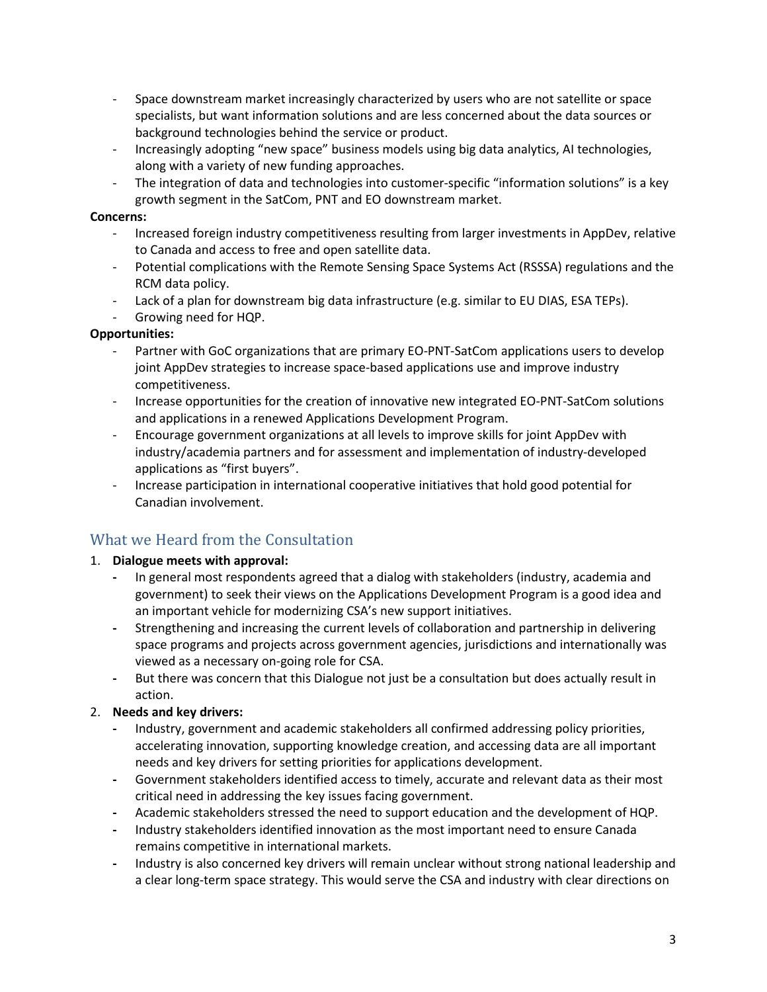- Space downstream market increasingly characterized by users who are not satellite or space specialists, but want information solutions and are less concerned about the data sources or background technologies behind the service or product.
- Increasingly adopting "new space" business models using big data analytics, AI technologies, along with a variety of new funding approaches.
- The integration of data and technologies into customer-specific "information solutions" is a key growth segment in the SatCom, PNT and EO downstream market.

#### **Concerns:**

- Increased foreign industry competitiveness resulting from larger investments in AppDev, relative to Canada and access to free and open satellite data.
- Potential complications with the Remote Sensing Space Systems Act (RSSSA) regulations and the RCM data policy.
- Lack of a plan for downstream big data infrastructure (e.g. similar to EU DIAS, ESA TEPs).
- Growing need for HQP.

#### **Opportunities:**

- Partner with GoC organizations that are primary EO-PNT-SatCom applications users to develop joint AppDev strategies to increase space-based applications use and improve industry competitiveness.
- Increase opportunities for the creation of innovative new integrated EO-PNT-SatCom solutions and applications in a renewed Applications Development Program.
- Encourage government organizations at all levels to improve skills for joint AppDev with industry/academia partners and for assessment and implementation of industry-developed applications as "first buyers".
- Increase participation in international cooperative initiatives that hold good potential for Canadian involvement.

## What we Heard from the Consultation

#### 1. **Dialogue meets with approval:**

- **-** In general most respondents agreed that a dialog with stakeholders (industry, academia and government) to seek their views on the Applications Development Program is a good idea and an important vehicle for modernizing CSA's new support initiatives.
- **-** Strengthening and increasing the current levels of collaboration and partnership in delivering space programs and projects across government agencies, jurisdictions and internationally was viewed as a necessary on-going role for CSA.
- **-** But there was concern that this Dialogue not just be a consultation but does actually result in action.

#### 2. **Needs and key drivers:**

- **-** Industry, government and academic stakeholders all confirmed addressing policy priorities, accelerating innovation, supporting knowledge creation, and accessing data are all important needs and key drivers for setting priorities for applications development.
- **-** Government stakeholders identified access to timely, accurate and relevant data as their most critical need in addressing the key issues facing government.
- **-** Academic stakeholders stressed the need to support education and the development of HQP.
- **-** Industry stakeholders identified innovation as the most important need to ensure Canada remains competitive in international markets.
- **-** Industry is also concerned key drivers will remain unclear without strong national leadership and a clear long-term space strategy. This would serve the CSA and industry with clear directions on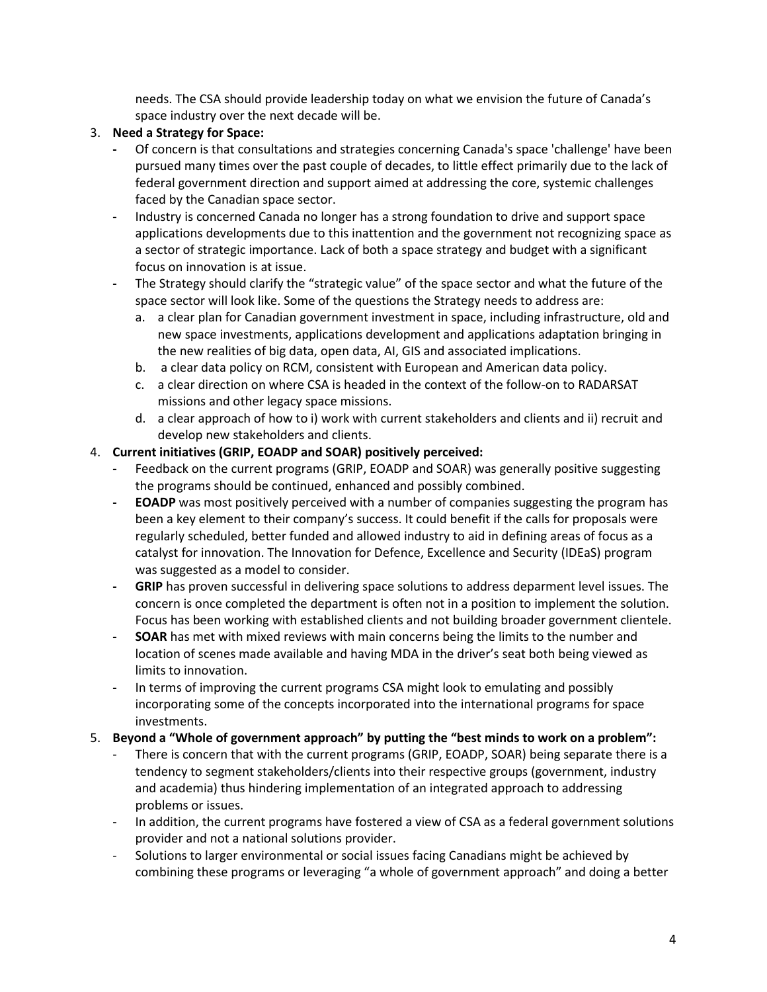needs. The CSA should provide leadership today on what we envision the future of Canada's space industry over the next decade will be.

#### 3. **Need a Strategy for Space:**

- **-** Of concern is that consultations and strategies concerning Canada's space 'challenge' have been pursued many times over the past couple of decades, to little effect primarily due to the lack of federal government direction and support aimed at addressing the core, systemic challenges faced by the Canadian space sector.
- **-** Industry is concerned Canada no longer has a strong foundation to drive and support space applications developments due to this inattention and the government not recognizing space as a sector of strategic importance. Lack of both a space strategy and budget with a significant focus on innovation is at issue.
- **-** The Strategy should clarify the "strategic value" of the space sector and what the future of the space sector will look like. Some of the questions the Strategy needs to address are:
	- a. a clear plan for Canadian government investment in space, including infrastructure, old and new space investments, applications development and applications adaptation bringing in the new realities of big data, open data, AI, GIS and associated implications.
	- b. a clear data policy on RCM, consistent with European and American data policy.
	- c. a clear direction on where CSA is headed in the context of the follow-on to RADARSAT missions and other legacy space missions.
	- d. a clear approach of how to i) work with current stakeholders and clients and ii) recruit and develop new stakeholders and clients.

#### 4. **Current initiatives (GRIP, EOADP and SOAR) positively perceived:**

- **-** Feedback on the current programs (GRIP, EOADP and SOAR) was generally positive suggesting the programs should be continued, enhanced and possibly combined.
- **- EOADP** was most positively perceived with a number of companies suggesting the program has been a key element to their company's success. It could benefit if the calls for proposals were regularly scheduled, better funded and allowed industry to aid in defining areas of focus as a catalyst for innovation. The Innovation for Defence, Excellence and Security (IDEaS) program was suggested as a model to consider.
- **GRIP** has proven successful in delivering space solutions to address deparment level issues. The concern is once completed the department is often not in a position to implement the solution. Focus has been working with established clients and not building broader government clientele.
- **- SOAR** has met with mixed reviews with main concerns being the limits to the number and location of scenes made available and having MDA in the driver's seat both being viewed as limits to innovation.
- **-** In terms of improving the current programs CSA might look to emulating and possibly incorporating some of the concepts incorporated into the international programs for space investments.

#### 5. **Beyond a "Whole of government approach" by putting the "best minds to work on a problem":**

- There is concern that with the current programs (GRIP, EOADP, SOAR) being separate there is a tendency to segment stakeholders/clients into their respective groups (government, industry and academia) thus hindering implementation of an integrated approach to addressing problems or issues.
- In addition, the current programs have fostered a view of CSA as a federal government solutions provider and not a national solutions provider.
- Solutions to larger environmental or social issues facing Canadians might be achieved by combining these programs or leveraging "a whole of government approach" and doing a better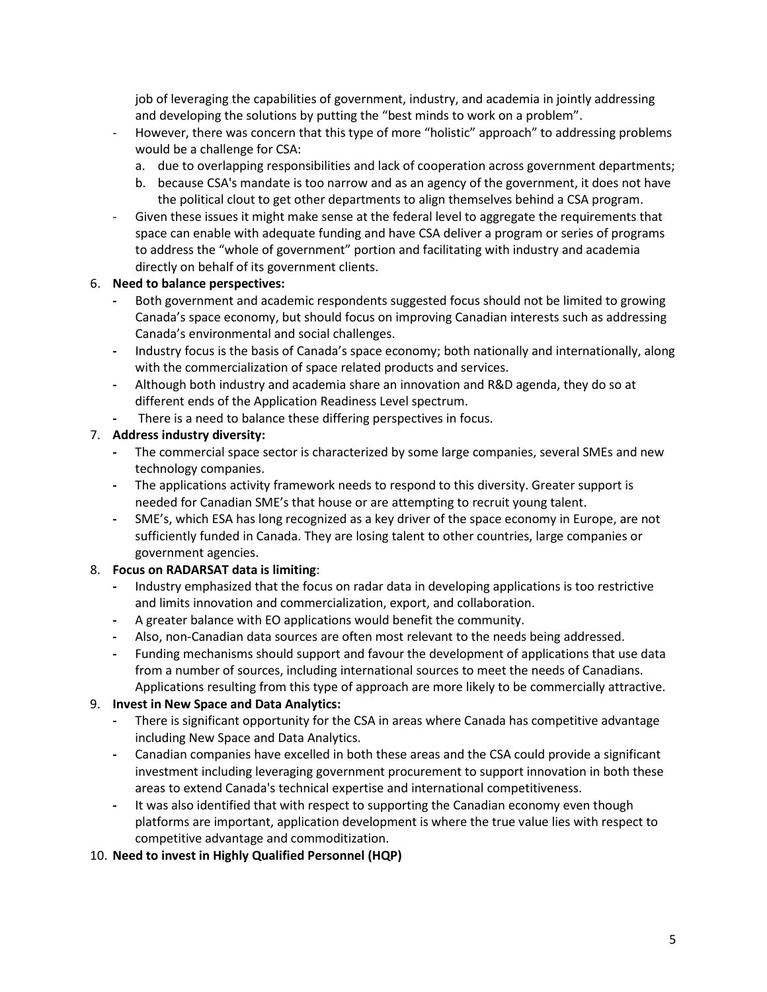job of leveraging the capabilities of government, industry, and academia in jointly addressing and developing the solutions by putting the "best minds to work on a problem".

- However, there was concern that this type of more "holistic" approach" to addressing problems would be a challenge for CSA:
	- a. due to overlapping responsibilities and lack of cooperation across government departments;
	- b. because CSA's mandate is too narrow and as an agency of the government, it does not have the political clout to get other departments to align themselves behind a CSA program.
- Given these issues it might make sense at the federal level to aggregate the requirements that space can enable with adequate funding and have CSA deliver a program or series of programs to address the "whole of government" portion and facilitating with industry and academia directly on behalf of its government clients.

#### 6. **Need to balance perspectives:**

- **-** Both government and academic respondents suggested focus should not be limited to growing Canada's space economy, but should focus on improving Canadian interests such as addressing Canada's environmental and social challenges.
- **-** Industry focus is the basis of Canada's space economy; both nationally and internationally, along with the commercialization of space related products and services.
- **-** Although both industry and academia share an innovation and R&D agenda, they do so at different ends of the Application Readiness Level spectrum.
- **-** There is a need to balance these differing perspectives in focus.

#### 7. **Address industry diversity:**

- **-** The commercial space sector is characterized by some large companies, several SMEs and new technology companies.
- **-** The applications activity framework needs to respond to this diversity. Greater support is needed for Canadian SME's that house or are attempting to recruit young talent.
- **-** SME's, which ESA has long recognized as a key driver of the space economy in Europe, are not sufficiently funded in Canada. They are losing talent to other countries, large companies or government agencies.

#### 8. **Focus on RADARSAT data is limiting**:

- **-** Industry emphasized that the focus on radar data in developing applications is too restrictive and limits innovation and commercialization, export, and collaboration.
- **-** A greater balance with EO applications would benefit the community.
- **-** Also, non-Canadian data sources are often most relevant to the needs being addressed.
- **-** Funding mechanisms should support and favour the development of applications that use data from a number of sources, including international sources to meet the needs of Canadians. Applications resulting from this type of approach are more likely to be commercially attractive.

#### 9. **Invest in New Space and Data Analytics:**

- **-** There is significant opportunity for the CSA in areas where Canada has competitive advantage including New Space and Data Analytics.
- **-** Canadian companies have excelled in both these areas and the CSA could provide a significant investment including leveraging government procurement to support innovation in both these areas to extend Canada's technical expertise and international competitiveness.
- **-** It was also identified that with respect to supporting the Canadian economy even though platforms are important, application development is where the true value lies with respect to competitive advantage and commoditization.

#### 10. **Need to invest in Highly Qualified Personnel (HQP)**